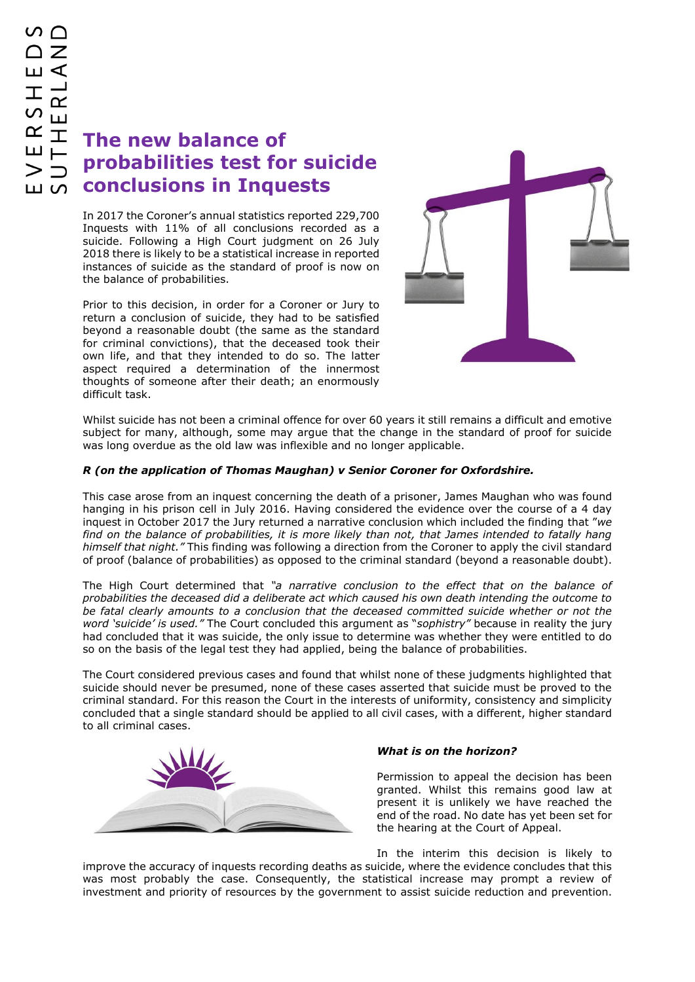## **The new balance of probabilities test for suicide conclusions in Inquests**

In 2017 the Coroner's annual statistics reported 229,700 Inquests with 11% of all conclusions recorded as a suicide. Following a High Court judgment on 26 July 2018 there is likely to be a statistical increase in reported instances of suicide as the standard of proof is now on the balance of probabilities.

Prior to this decision, in order for a Coroner or Jury to return a conclusion of suicide, they had to be satisfied beyond a reasonable doubt (the same as the standard for criminal convictions), that the deceased took their own life, and that they intended to do so. The latter aspect required a determination of the innermost thoughts of someone after their death; an enormously difficult task.



Whilst suicide has not been a criminal offence for over 60 years it still remains a difficult and emotive subject for many, although, some may argue that the change in the standard of proof for suicide was long overdue as the old law was inflexible and no longer applicable.

## *R (on the application of Thomas Maughan) v Senior Coroner for Oxfordshire.*

This case arose from an inquest concerning the death of a prisoner, James Maughan who was found hanging in his prison cell in July 2016. Having considered the evidence over the course of a 4 day inquest in October 2017 the Jury returned a narrative conclusion which included the finding that "*we find on the balance of probabilities, it is more likely than not, that James intended to fatally hang himself that night."* This finding was following a direction from the Coroner to apply the civil standard of proof (balance of probabilities) as opposed to the criminal standard (beyond a reasonable doubt).

The High Court determined that *"a narrative conclusion to the effect that on the balance of probabilities the deceased did a deliberate act which caused his own death intending the outcome to be fatal clearly amounts to a conclusion that the deceased committed suicide whether or not the word 'suicide' is used."* The Court concluded this argument as "*sophistry"* because in reality the jury had concluded that it was suicide, the only issue to determine was whether they were entitled to do so on the basis of the legal test they had applied, being the balance of probabilities.

The Court considered previous cases and found that whilst none of these judgments highlighted that suicide should never be presumed, none of these cases asserted that suicide must be proved to the criminal standard. For this reason the Court in the interests of uniformity, consistency and simplicity concluded that a single standard should be applied to all civil cases, with a different, higher standard to all criminal cases.



## *What is on the horizon?*

Permission to appeal the decision has been granted. Whilst this remains good law at present it is unlikely we have reached the end of the road. No date has yet been set for the hearing at the Court of Appeal.

In the interim this decision is likely to improve the accuracy of inquests recording deaths as suicide, where the evidence concludes that this was most probably the case. Consequently, the statistical increase may prompt a review of investment and priority of resources by the government to assist suicide reduction and prevention.